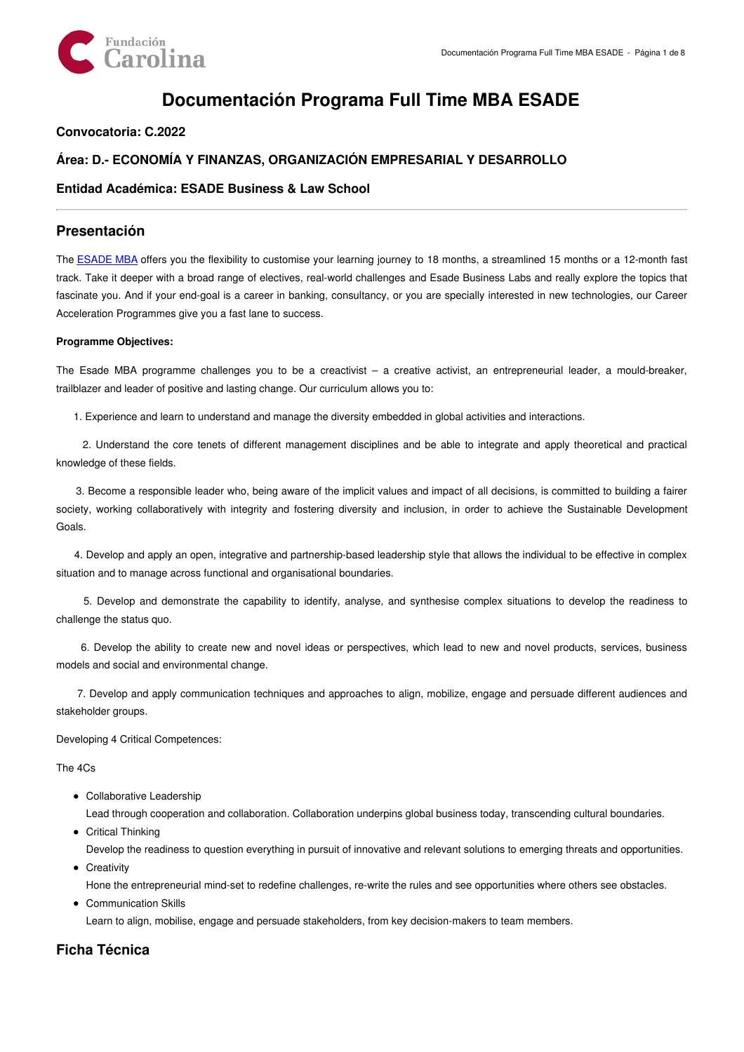

# **Documentación Programa Full Time MBA ESADE**

## **Convocatoria: C.2022**

## **Área: D.- ECONOMÍA Y FINANZAS, ORGANIZACIÓN EMPRESARIAL Y DESARROLLO**

## **Entidad Académica: ESADE Business & Law School**

## **Presentación**

The [ESADE](https://www.esade.edu/mba/en/programmes/full-time-mba) MBA offers you the flexibility to customise your learning journey to 18 months, a streamlined 15 months or a 12-month fast track. Take it deeper with a broad range of electives, real-world challenges and Esade Business Labs and really explore the topics that fascinate you. And if your end-goal is a career in banking, consultancy, or you are specially interested in new technologies, our Career Acceleration Programmes give you a fast lane to success.

#### **Programme Objectives:**

The Esade MBA programme challenges you to be a creactivist – a creative activist, an entrepreneurial leader, a mould-breaker, trailblazer and leader of positive and lasting change. Our curriculum allows you to:

1. Experience and learn to understand and manage the diversity embedded in global activities and interactions.

2. Understand the core tenets of different management disciplines and be able to integrate and apply theoretical and practical knowledge of these fields.

3. Become a responsible leader who, being aware of the implicit values and impact of all decisions, is committed to building a fairer society, working collaboratively with integrity and fostering diversity and inclusion, in order to achieve the Sustainable Development Goals.

4. Develop and apply an open, integrative and partnership-based leadership style that allows the individual to be effective in complex situation and to manage across functional and organisational boundaries.

5. Develop and demonstrate the capability to identify, analyse, and synthesise complex situations to develop the readiness to challenge the status quo.

6. Develop the ability to create new and novel ideas or perspectives, which lead to new and novel products, services, business models and social and environmental change.

7. Develop and apply communication techniques and approaches to align, mobilize, engage and persuade different audiences and stakeholder groups.

Developing 4 Critical Competences:

#### The 4Cs

• Collaborative Leadership

Lead through cooperation and collaboration. Collaboration underpins global business today, transcending cultural boundaries.

- Critical Thinking Develop the readiness to question everything in pursuit of innovative and relevant solutions to emerging threats and opportunities.
- Creativity

Hone the entrepreneurial mind-set to redefine challenges, re-write the rules and see opportunities where others see obstacles.

Communication Skills

Learn to align, mobilise, engage and persuade stakeholders, from key decision-makers to team members.

## **Ficha Técnica**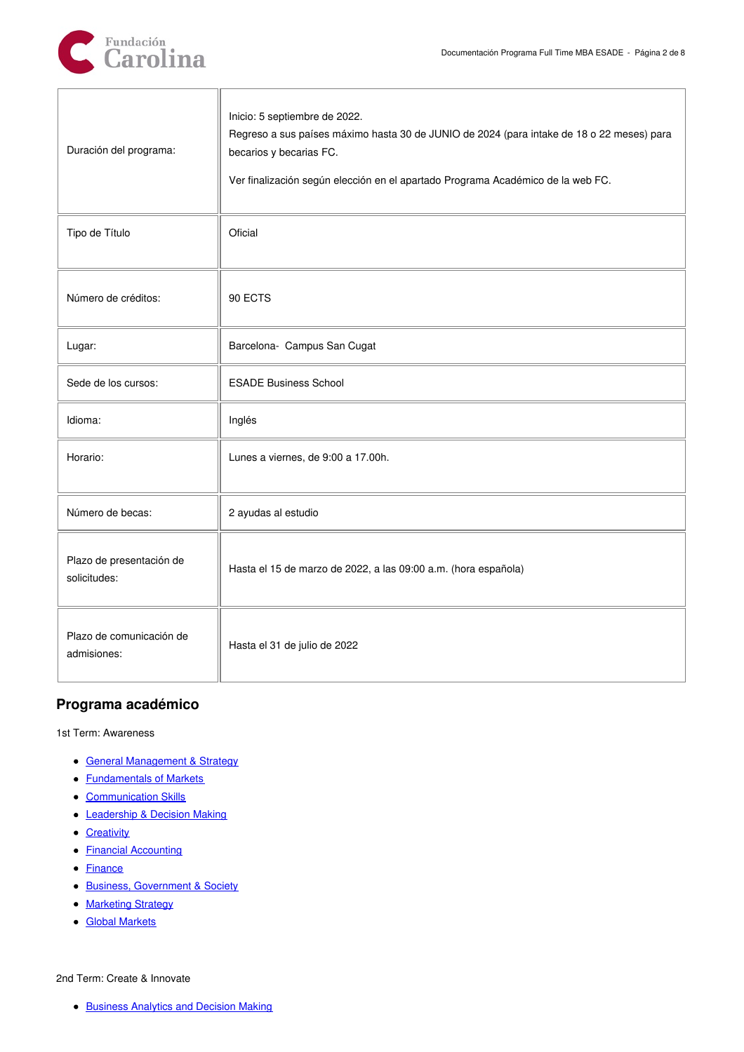| Duración del programa:                   | Inicio: 5 septiembre de 2022.<br>Regreso a sus países máximo hasta 30 de JUNIO de 2024 (para intake de 18 o 22 meses) para<br>becarios y becarias FC.<br>Ver finalización según elección en el apartado Programa Académico de la web FC. |
|------------------------------------------|------------------------------------------------------------------------------------------------------------------------------------------------------------------------------------------------------------------------------------------|
| Tipo de Título                           | Oficial                                                                                                                                                                                                                                  |
| Número de créditos:                      | 90 ECTS                                                                                                                                                                                                                                  |
| Lugar:                                   | Barcelona- Campus San Cugat                                                                                                                                                                                                              |
| Sede de los cursos:                      | <b>ESADE Business School</b>                                                                                                                                                                                                             |
| Idioma:                                  | Inglés                                                                                                                                                                                                                                   |
| Horario:                                 | Lunes a viernes, de 9:00 a 17.00h.                                                                                                                                                                                                       |
| Número de becas:                         | 2 ayudas al estudio                                                                                                                                                                                                                      |
| Plazo de presentación de<br>solicitudes: | Hasta el 15 de marzo de 2022, a las 09:00 a.m. (hora española)                                                                                                                                                                           |
| Plazo de comunicación de<br>admisiones:  | Hasta el 31 de julio de 2022                                                                                                                                                                                                             |

## **Programa académico**

1st Term: Awareness

- General [Management](http://prodesade.esade.edu/gea/generate/9A_EN/report.html?sby=106736023) & Strategy
- **[Fundamentals](http://prodesade.esade.edu/gea/generate/9A_EN/report.html?sby=106736011) of Markets**
- [Communication](http://prodesade.esade.edu/gea/generate/9A_EN/report.html?sby=106736093) Skills
- [Leadership](http://prodesade.esade.edu/gea/generate/9A_EN/report.html?sby=106736081) & Decision Making
- [Creativity](http://prodesade.esade.edu/gea/generate/9A_EN/report.html?sby=106719844)
- **Financial [Accounting](http://prodesade.esade.edu/gea/generate/9A_EN/report.html?sby=106731171)**
- [Finance](http://prodesade.esade.edu/gea/generate/9A_EN/report.html?sby=106731166)
- **Business, [Government](http://prodesade.esade.edu/gea/generate/9A_EN/report.html?sby=106731185) & Society**
- [Marketing](http://prodesade.esade.edu/gea/generate/9A_EN/report.html?sby=106736044) Strategy
- Global [Markets](http://prodesade.esade.edu/gea/generate/9A_EN/report.html?sby=106736036)

2nd Term: Create & Innovate

• [Business](http://prodesade.esade.edu/gea/generate/9A_EN/report.html?sby=106719819) Analytics and Decision Making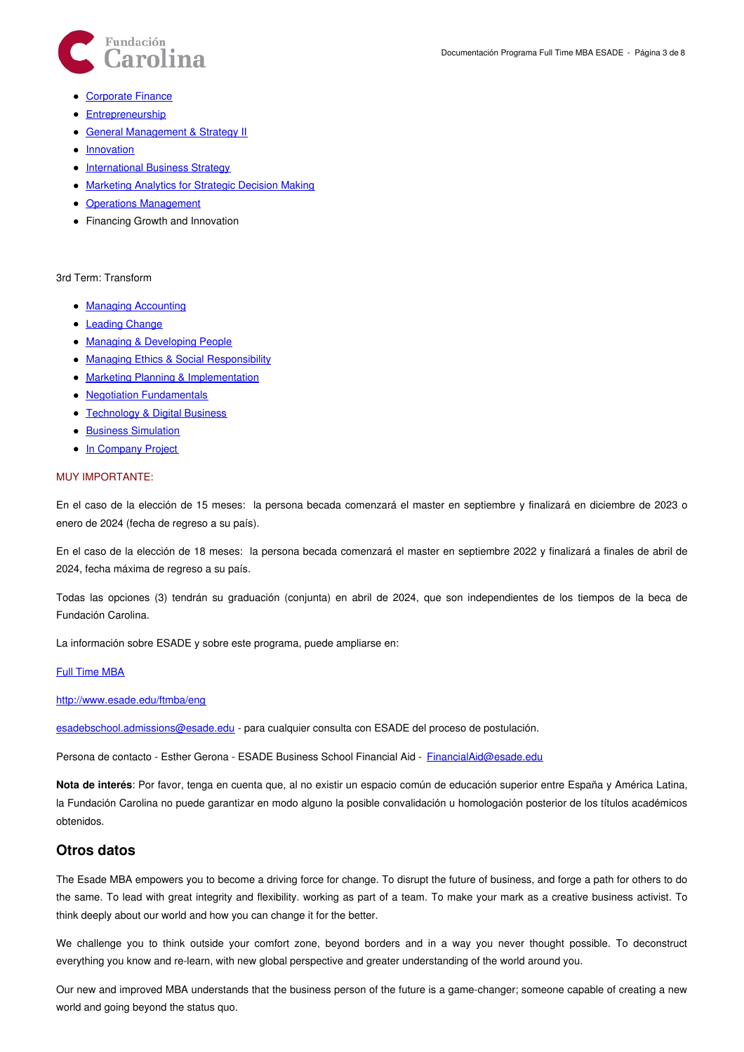

- [Corporate](http://prodesade.esade.edu/gea/generate/9A_EN/report.html?sby=106719832) Finance
- [Entrepreneurship](http://prodesade.esade.edu/gea/generate/9A_EN/report.html?sby=106719856)
- General [Management](http://prodesade.esade.edu/gea/generate/9A_EN/report.html?sby=106736023) & Strategy II
- [Innovation](http://prodesade.esade.edu/gea/generate/9A_EN/report.html?sby=106719862)
- [International](http://prodesade.esade.edu/gea/generate/9A_EN/report.html?sby=106726458) Business Strategy
- [Marketing](http://prodesade.esade.edu/gea/generate/9A_EN/report.html?sby=106736044) Analytics for Strategic Decision Making
- Operations [Management](http://prodesade.esade.edu/gea/generate/9A_EN/report.html?sby=106719762)
- Financing Growth and Innovation

#### 3rd Term: Transform

- Managing [Accounting](http://prodesade.esade.edu/gea/generate/9A_EN/report.html?sby=106811292)
- [Leading](http://prodesade.esade.edu/gea/generate/9A_EN/report.html?sby=106811318) Change
- Managing & [Developing](http://prodesade.esade.edu/gea/generate/9A_EN/report.html?sby=106811331) People
- Managing Ethics & Social [Responsibility](http://prodesade.esade.edu/gea/generate/9A_EN/report.html?sby=106811342)
- Marketing Planning & [Implementation](http://prodesade.esade.edu/gea/generate/9A_EN/report.html?sby=106810863)
- Negotiation [Fundamentals](http://prodesade.esade.edu/gea/generate/9A_EN/report.html?sby=106811043)
- [Technology](http://prodesade.esade.edu/gea/generate/9A_EN/report.html?sby=106811187) & Digital Business
- **Business [Simulation](http://prodesade.esade.edu/gea/generate/9A_EN/report.html?sby=106534350)**
- In [Company](http://prodesade.esade.edu/gea/generate/9A_EN/report.html?sby=106736110) Project

#### MUY IMPORTANTE:

En el caso de la elección de 15 meses: la persona becada comenzará el master en septiembre y finalizará en diciembre de 2023 o enero de 2024 (fecha de regreso a su país).

En el caso de la elección de 18 meses: la persona becada comenzará el master en septiembre 2022 y finalizará a finales de abril de 2024, fecha máxima de regreso a su país.

Todas las opciones (3) tendrán su graduación (conjunta) en abril de 2024, que son independientes de los tiempos de la beca de Fundación Carolina.

La información sobre ESADE y sobre este programa, puede ampliarse en:

#### Full [Time](https://www.esade.edu/mba/en/programmes/full-time-mba) MBA

<http://www.esade.edu/ftmba/eng>

[esadebschool.admissions@esade.edu](mailto:esadebschool.admissions@esade.edu) - para cualquier consulta con ESADE del proceso de postulación.

Persona de contacto - Esther Gerona - ESADE Business School Financial Aid - [FinancialAid@esade.edu](mailto:FinancialAid@esade.edu)

**Nota de interés**: Por favor, tenga en cuenta que, al no existir un espacio común de educación superior entre España y América Latina, la Fundación Carolina no puede garantizar en modo alguno la posible convalidación u homologación posterior de los títulos académicos obtenidos.

### **Otros datos**

The Esade MBA empowers you to become a driving force for change. To disrupt the future of business, and forge a path for others to do the same. To lead with great integrity and flexibility. working as part of a team. To make your mark as a creative business activist. To think deeply about our world and how you can change it for the better.

We challenge you to think outside your comfort zone, beyond borders and in a way you never thought possible. To deconstruct everything you know and re-learn, with new global perspective and greater understanding of the world around you.

Our new and improved MBA understands that the business person of the future is a game-changer; someone capable of creating a new world and going beyond the status quo.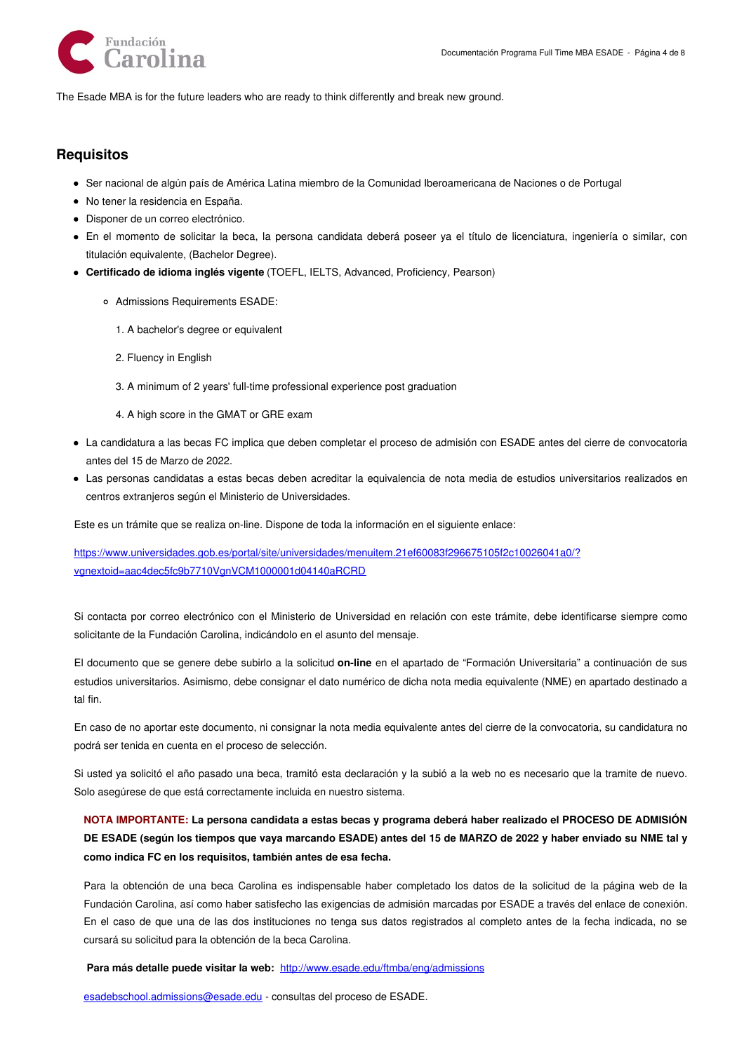

The Esade MBA is for the future leaders who are ready to think differently and break new ground.

## **Requisitos**

- Ser nacional de algún país de América Latina miembro de la Comunidad Iberoamericana de Naciones o de Portugal
- No tener la residencia en España.
- Disponer de un correo electrónico.
- En el momento de solicitar la beca, la persona candidata deberá poseer ya el título de licenciatura, ingeniería o similar, con titulación equivalente, (Bachelor Degree).
- **Certificado de idioma inglés vigente** (TOEFL, IELTS, Advanced, Proficiency, Pearson)
	- Admissions Requirements ESADE:
		- 1. A bachelor's degree or equivalent
		- 2. Fluency in English
		- 3. A minimum of 2 years' full-time professional experience post graduation
		- 4. A high score in the GMAT or GRE exam
- La candidatura a las becas FC implica que deben completar el proceso de admisión con ESADE antes del cierre de convocatoria antes del 15 de Marzo de 2022.
- Las personas candidatas a estas becas deben acreditar la equivalencia de nota media de estudios universitarios realizados en centros extranjeros según el Ministerio de Universidades.

Este es un trámite que se realiza on-line. Dispone de toda la información en el siguiente enlace:

[https://www.universidades.gob.es/portal/site/universidades/menuitem.21ef60083f296675105f2c10026041a0/?](https://www.universidades.gob.es/portal/site/universidades/menuitem.21ef60083f296675105f2c10026041a0/?vgnextoid=aac4dec5fc9b7710VgnVCM1000001d04140aRCRD) vgnextoid=aac4dec5fc9b7710VgnVCM1000001d04140aRCRD

Si contacta por correo electrónico con el Ministerio de Universidad en relación con este trámite, debe identificarse siempre como solicitante de la Fundación Carolina, indicándolo en el asunto del mensaje.

El documento que se genere debe subirlo a la solicitud **on-line** en el apartado de "Formación Universitaria" a continuación de sus estudios universitarios. Asimismo, debe consignar el dato numérico de dicha nota media equivalente (NME) en apartado destinado a tal fin.

En caso de no aportar este documento, ni consignar la nota media equivalente antes del cierre de la convocatoria, su candidatura no podrá ser tenida en cuenta en el proceso de selección.

Si usted ya solicitó el año pasado una beca, tramitó esta declaración y la subió a la web no es necesario que la tramite de nuevo. Solo asegúrese de que está correctamente incluida en nuestro sistema.

## NOTA IMPORTANTE: La persona candidata a estas becas y programa deberá haber realizado el PROCESO DE ADMISIÓN DE ESADE (según los tiempos que vaya marcando ESADE) antes del 15 de MARZO de 2022 y haber enviado su NME tal y **como indica FC en los requisitos, también antes de esa fecha.**

Para la obtención de una beca Carolina es indispensable haber completado los datos de la solicitud de la página web de la Fundación Carolina, así como haber satisfecho las exigencias de admisión marcadas por ESADE a través del enlace de conexión. En el caso de que una de las dos instituciones no tenga sus datos registrados al completo antes de la fecha indicada, no se cursará su solicitud para la obtención de la beca Carolina.

**Para más detalle puede visitar la web:** <http://www.esade.edu/ftmba/eng/admissions>

[esadebschool.admissions@esade.edu](mailto:esadebschool.admissions@esade.edu) - consultas del proceso de ESADE.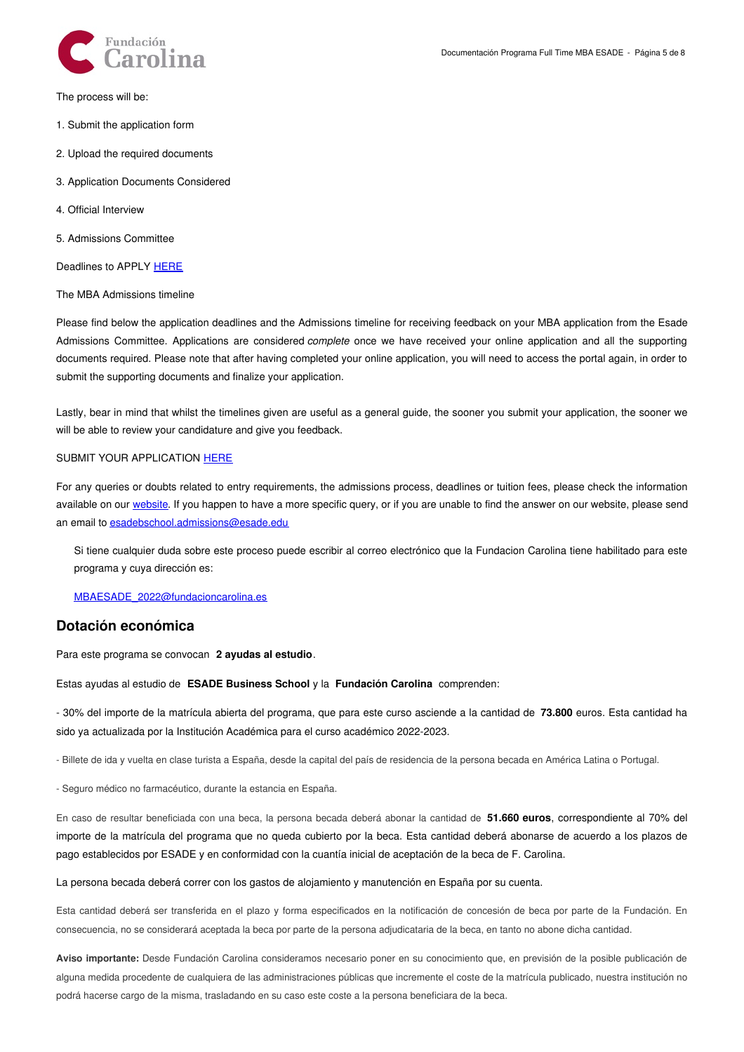

The process will be:

- 1. Submit the application form
- 2. Upload the required documents
- 3. Application Documents Considered
- 4. Official Interview
- 5. Admissions Committee

Deadlines to APPLY [HERE](https://www.esade.edu/mba/en/programmes/full-time-mba/admissions/admission-process)

The MBA Admissions timeline

Please find below the application deadlines and the Admissions timeline for receiving feedback on your MBA application from the Esade Admissions Committee. Applications are considered *complete* once we have received your online application and all the supporting documents required. Please note that after having completed your online application, you will need to access the portal again, in order to submit the supporting documents and finalize your application.

Lastly, bear in mind that whilst the timelines given are useful as a general guide, the sooner you submit your application, the sooner we will be able to review your candidature and give you feedback.

#### SUBMIT YOUR APPLICATION [HERE](https://www.esade.edu/mba/en/programmes/full-time-mba/admissions/apply-for-admission)

For any queries or doubts related to entry requirements, the admissions process, deadlines or tuition fees, please check the information available on our [website](https://www.esade.edu/mba/en/programmes/full-time-mba/admissions). If you happen to have a more specific query, or if you are unable to find the answer on our website, please send an email to [esadebschool.admissions@esade.edu](mailto:esadebschool.admissions@esade.edu)

Si tiene cualquier duda sobre este proceso puede escribir al correo electrónico que la Fundacion Carolina tiene habilitado para este programa y cuya dirección es:

[MBAESADE\\_2022@fundacioncarolina.es](mailto:MBAESADE_2022@fundacioncarolina.es)

### **Dotación económica**

Para este programa se convocan **2 ayudas al estudio**.

Estas ayudas al estudio de **ESADE Business School** y la **Fundación Carolina** comprenden:

- 30% del importe de la matrícula abierta del programa, que para este curso asciende a la cantidad de **73.800** euros. Esta cantidad ha sido ya actualizada por la Institución Académica para el curso académico 2022-2023.

- Billete de ida y vuelta en clase turista a España, desde la capital del país de residencia de la persona becada en América Latina o Portugal.

- Seguro médico no farmacéutico, durante la estancia en España.

En caso de resultar beneficiada con una beca, la persona becada deberá abonar la cantidad de **51.660 euros**, correspondiente al 70% del importe de la matrícula del programa que no queda cubierto por la beca. Esta cantidad deberá abonarse de acuerdo a los plazos de pago establecidos por ESADE y en conformidad con la cuantía inicial de aceptación de la beca de F. Carolina.

#### La persona becada deberá correr con los gastos de alojamiento y manutención en España por su cuenta.

Esta cantidad deberá ser transferida en el plazo y forma especificados en la notificación de concesión de beca por parte de la Fundación. En consecuencia, no se considerará aceptada la beca por parte de la persona adjudicataria de la beca, en tanto no abone dicha cantidad.

**Aviso importante:** Desde Fundación Carolina consideramos necesario poner en su conocimiento que, en previsión de la posible publicación de alguna medida procedente de cualquiera de las administraciones públicas que incremente el coste de la matrícula publicado, nuestra institución no podrá hacerse cargo de la misma, trasladando en su caso este coste a la persona beneficiara de la beca.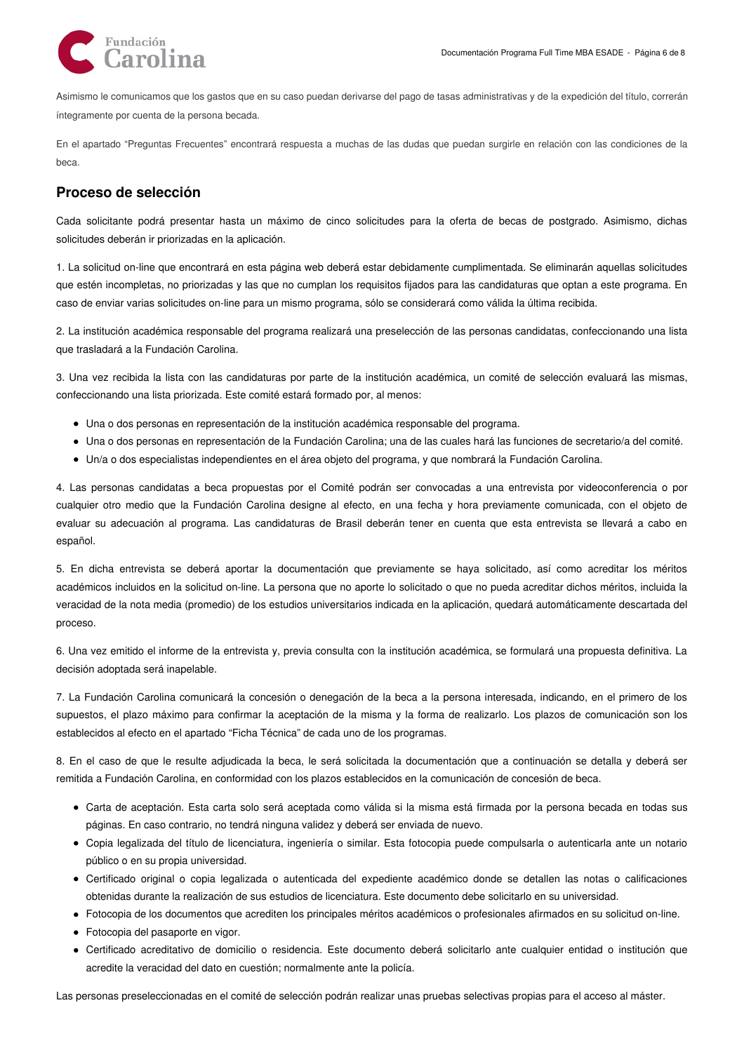

Asimismo le comunicamos que los gastos que en su caso puedan derivarse del pago de tasas administrativas y de la expedición del título, correrán íntegramente por cuenta de la persona becada.

En el apartado "Preguntas Frecuentes" encontrará respuesta a muchas de las dudas que puedan surgirle en relación con las condiciones de la beca.

## **Proceso de selección**

Cada solicitante podrá presentar hasta un máximo de cinco solicitudes para la oferta de becas de postgrado. Asimismo, dichas solicitudes deberán ir priorizadas en la aplicación.

1. La solicitud on-line que encontrará en esta página web deberá estar debidamente cumplimentada. Se eliminarán aquellas solicitudes que estén incompletas, no priorizadas y las que no cumplan los requisitos fijados para las candidaturas que optan a este programa. En caso de enviar varias solicitudes on-line para un mismo programa, sólo se considerará como válida la última recibida.

2. La institución académica responsable del programa realizará una preselección de las personas candidatas, confeccionando una lista que trasladará a la Fundación Carolina.

3. Una vez recibida la lista con las candidaturas por parte de la institución académica, un comité de selección evaluará las mismas, confeccionando una lista priorizada. Este comité estará formado por, al menos:

- Una o dos personas en representación de la institución académica responsable del programa.
- Una o dos personas en representación de la Fundación Carolina; una de las cuales hará las funciones de secretario/a del comité.
- Un/a o dos especialistas independientes en el área objeto del programa, y que nombrará la Fundación Carolina.

4. Las personas candidatas a beca propuestas por el Comité podrán ser convocadas a una entrevista por videoconferencia o por cualquier otro medio que la Fundación Carolina designe al efecto, en una fecha y hora previamente comunicada, con el objeto de evaluar su adecuación al programa. Las candidaturas de Brasil deberán tener en cuenta que esta entrevista se llevará a cabo en español.

5. En dicha entrevista se deberá aportar la documentación que previamente se haya solicitado, así como acreditar los méritos académicos incluidos en la solicitud on-line. La persona que no aporte lo solicitado o que no pueda acreditar dichos méritos, incluida la veracidad de la nota media (promedio) de los estudios universitarios indicada en la aplicación, quedará automáticamente descartada del proceso.

6. Una vez emitido el informe de la entrevista y, previa consulta con la institución académica, se formulará una propuesta definitiva. La decisión adoptada será inapelable.

7. La Fundación Carolina comunicará la concesión o denegación de la beca a la persona interesada, indicando, en el primero de los supuestos, el plazo máximo para confirmar la aceptación de la misma y la forma de realizarlo. Los plazos de comunicación son los establecidos al efecto en el apartado "Ficha Técnica" de cada uno de los programas.

8. En el caso de que le resulte adjudicada la beca, le será solicitada la documentación que a continuación se detalla y deberá ser remitida a Fundación Carolina, en conformidad con los plazos establecidos en la comunicación de concesión de beca.

- Carta de aceptación. Esta carta solo será aceptada como válida si la misma está firmada por la persona becada en todas sus páginas. En caso contrario, no tendrá ninguna validez y deberá ser enviada de nuevo.
- Copia legalizada del título de licenciatura, ingeniería o similar. Esta fotocopia puede compulsarla o autenticarla ante un notario público o en su propia universidad.
- Certificado original o copia legalizada o autenticada del expediente académico donde se detallen las notas o calificaciones obtenidas durante la realización de sus estudios de licenciatura. Este documento debe solicitarlo en su universidad.
- Fotocopia de los documentos que acrediten los principales méritos académicos o profesionales afirmados en su solicitud on-line.
- Fotocopia del pasaporte en vigor.
- Certificado acreditativo de domicilio o residencia. Este documento deberá solicitarlo ante cualquier entidad o institución que acredite la veracidad del dato en cuestión; normalmente ante la policía.

Las personas preseleccionadas en el comité de selección podrán realizar unas pruebas selectivas propias para el acceso al máster.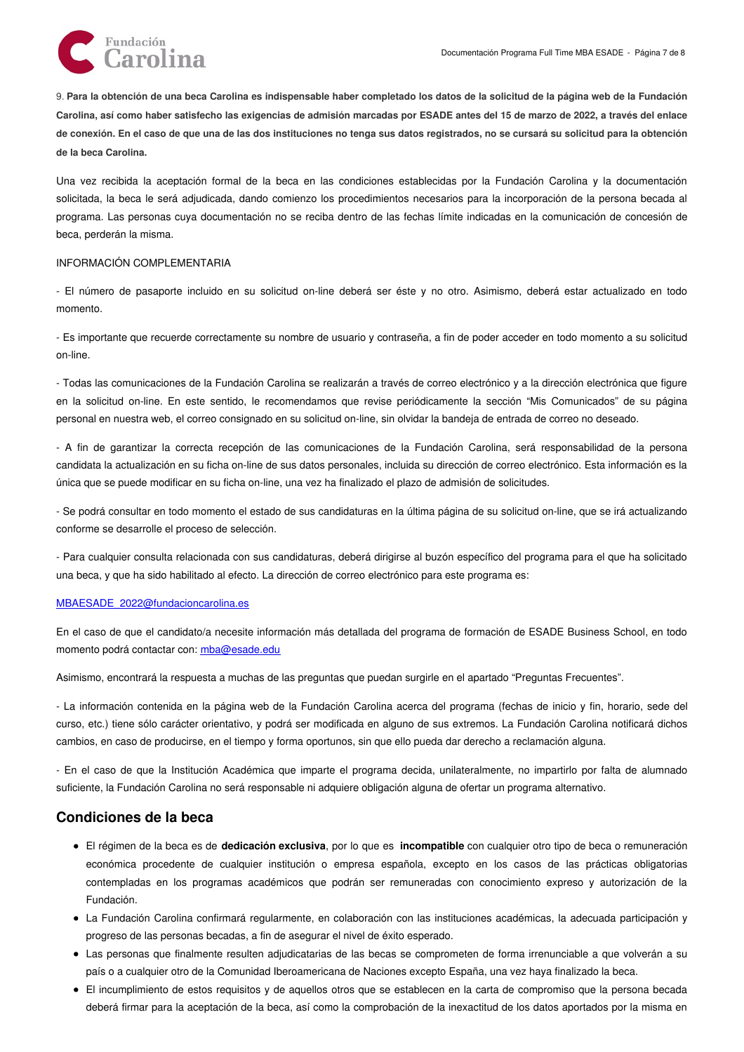

9. Para la obtención de una beca Carolina es indispensable haber completado los datos de la solicitud de la página web de la Fundación Carolina, así como haber satisfecho las exigencias de admisión marcadas por ESADE antes del 15 de marzo de 2022, a través del enlace de conexión. En el caso de que una de las dos instituciones no tenga sus datos registrados, no se cursará su solicitud para la obtención **de la beca Carolina.**

Una vez recibida la aceptación formal de la beca en las condiciones establecidas por la Fundación Carolina y la documentación solicitada, la beca le será adjudicada, dando comienzo los procedimientos necesarios para la incorporación de la persona becada al programa. Las personas cuya documentación no se reciba dentro de las fechas límite indicadas en la comunicación de concesión de beca, perderán la misma.

#### INFORMACIÓN COMPLEMENTARIA

- El número de pasaporte incluido en su solicitud on-line deberá ser éste y no otro. Asimismo, deberá estar actualizado en todo momento.

- Es importante que recuerde correctamente su nombre de usuario y contraseña, a fin de poder acceder en todo momento a su solicitud on-line.

- Todas las comunicaciones de la Fundación Carolina se realizarán a través de correo electrónico y a la dirección electrónica que figure en la solicitud on-line. En este sentido, le recomendamos que revise periódicamente la sección "Mis Comunicados" de su página personal en nuestra web, el correo consignado en su solicitud on-line, sin olvidar la bandeja de entrada de correo no deseado.

- A fin de garantizar la correcta recepción de las comunicaciones de la Fundación Carolina, será responsabilidad de la persona candidata la actualización en su ficha on-line de sus datos personales, incluida su dirección de correo electrónico. Esta información es la única que se puede modificar en su ficha on-line, una vez ha finalizado el plazo de admisión de solicitudes.

- Se podrá consultar en todo momento el estado de sus candidaturas en la última página de su solicitud on-line, que se irá actualizando conforme se desarrolle el proceso de selección.

- Para cualquier consulta relacionada con sus candidaturas, deberá dirigirse al buzón específico del programa para el que ha solicitado una beca, y que ha sido habilitado al efecto. La dirección de correo electrónico para este programa es:

#### [MBAESADE\\_2022@fundacioncarolina.es](mailto:MBAESADE_2022@fundacioncarolina.es)

En el caso de que el candidato/a necesite información más detallada del programa de formación de ESADE Business School, en todo momento podrá contactar con: [mba@esade.edu](http://mba@esade.edu)

Asimismo, encontrará la respuesta a muchas de las preguntas que puedan surgirle en el apartado "Preguntas Frecuentes".

- La información contenida en la página web de la Fundación Carolina acerca del programa (fechas de inicio y fin, horario, sede del curso, etc.) tiene sólo carácter orientativo, y podrá ser modificada en alguno de sus extremos. La Fundación Carolina notificará dichos cambios, en caso de producirse, en el tiempo y forma oportunos, sin que ello pueda dar derecho a reclamación alguna.

- En el caso de que la Institución Académica que imparte el programa decida, unilateralmente, no impartirlo por falta de alumnado suficiente, la Fundación Carolina no será responsable ni adquiere obligación alguna de ofertar un programa alternativo.

## **Condiciones de la beca**

- El régimen de la beca es de **dedicación exclusiva**, por lo que es **incompatible** con cualquier otro tipo de beca o remuneración económica procedente de cualquier institución o empresa española, excepto en los casos de las prácticas obligatorias contempladas en los programas académicos que podrán ser remuneradas con conocimiento expreso y autorización de la Fundación.
- La Fundación Carolina confirmará regularmente, en colaboración con las instituciones académicas, la adecuada participación y progreso de las personas becadas, a fin de asegurar el nivel de éxito esperado.
- Las personas que finalmente resulten adjudicatarias de las becas se comprometen de forma irrenunciable a que volverán a su país o a cualquier otro de la Comunidad Iberoamericana de Naciones excepto España, una vez haya finalizado la beca.
- El incumplimiento de estos requisitos y de aquellos otros que se establecen en la carta de compromiso que la persona becada deberá firmar para la aceptación de la beca, así como la comprobación de la inexactitud de los datos aportados por la misma en